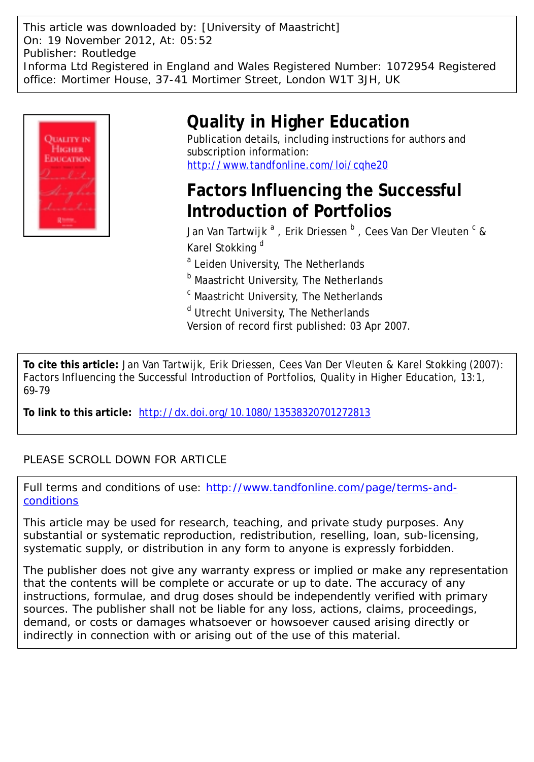This article was downloaded by: [University of Maastricht] On: 19 November 2012, At: 05:52 Publisher: Routledge Informa Ltd Registered in England and Wales Registered Number: 1072954 Registered office: Mortimer House, 37-41 Mortimer Street, London W1T 3JH, UK



# **Quality in Higher Education**

Publication details, including instructions for authors and subscription information: <http://www.tandfonline.com/loi/cqhe20>

## **Factors Influencing the Successful Introduction of Portfolios**

Jan Van Tartwijk  $^{\mathrm{a}}$  , Erik Driessen  $^{\mathrm{b}}$  , Cees Van Der Vleuten  $^{\mathrm{c}}$  & Karel Stokking<sup>d</sup>

<sup>a</sup> Leiden University, The Netherlands

**b** Maastricht University, The Netherlands

<sup>c</sup> Maastricht University, The Netherlands

<sup>d</sup> Utrecht University, The Netherlands

Version of record first published: 03 Apr 2007.

**To cite this article:** Jan Van Tartwijk, Erik Driessen, Cees Van Der Vleuten & Karel Stokking (2007): Factors Influencing the Successful Introduction of Portfolios, Quality in Higher Education, 13:1, 69-79

**To link to this article:** <http://dx.doi.org/10.1080/13538320701272813>

### PLEASE SCROLL DOWN FOR ARTICLE

Full terms and conditions of use: [http://www.tandfonline.com/page/terms-and](http://www.tandfonline.com/page/terms-and-conditions)[conditions](http://www.tandfonline.com/page/terms-and-conditions)

This article may be used for research, teaching, and private study purposes. Any substantial or systematic reproduction, redistribution, reselling, loan, sub-licensing, systematic supply, or distribution in any form to anyone is expressly forbidden.

The publisher does not give any warranty express or implied or make any representation that the contents will be complete or accurate or up to date. The accuracy of any instructions, formulae, and drug doses should be independently verified with primary sources. The publisher shall not be liable for any loss, actions, claims, proceedings, demand, or costs or damages whatsoever or howsoever caused arising directly or indirectly in connection with or arising out of the use of this material.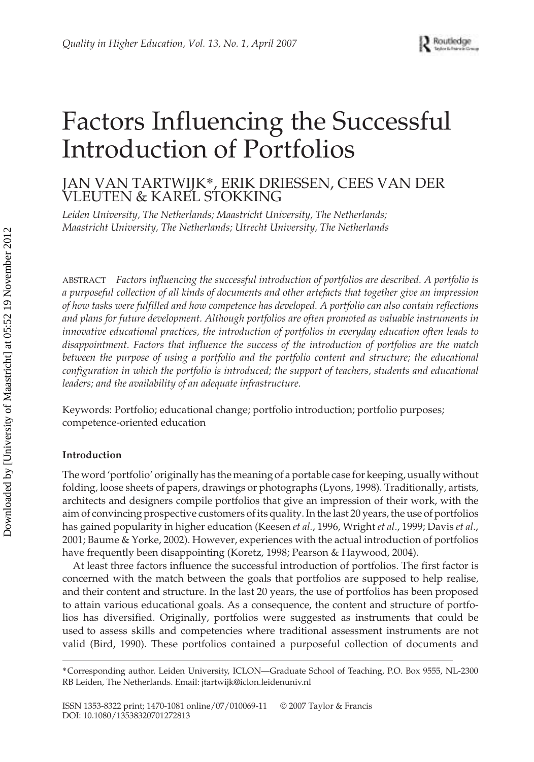# Factors Influencing the Successful Introduction of Portfolios

## JAN VAN TARTWIJK\*, ERIK DRIESSEN, CEES VAN DER VLEUTEN & KAREL STOKKING

*Leiden University, The Netherlands; Maastricht University, The Netherlands; Maastricht University, The Netherlands; Utrecht University, The Netherlands*

ABSTRACT *Factors influencing the successful introduction of portfolios are described. A portfolio is a purposeful collection of all kinds of documents and other artefacts that together give an impression of how tasks were fulfilled and how competence has developed. A portfolio can also contain reflections and plans for future development. Although portfolios are often promoted as valuable instruments in innovative educational practices, the introduction of portfolios in everyday education often leads to disappointment. Factors that influence the success of the introduction of portfolios are the match between the purpose of using a portfolio and the portfolio content and structure; the educational configuration in which the portfolio is introduced; the support of teachers, students and educational leaders; and the availability of an adequate infrastructure.*

Keywords: Portfolio; educational change; portfolio introduction; portfolio purposes; competence-oriented education

#### **Introduction**

The word 'portfolio' originally has the meaning of a portable case for keeping, usually without folding, loose sheets of papers, drawings or photographs (Lyons, 1998). Traditionally, artists, architects and designers compile portfolios that give an impression of their work, with the aim of convincing prospective customers of its quality. In the last 20 years, the use of portfolios has gained popularity in higher education (Keesen *et al.*, 1996, Wright *et al*., 1999; Davis *et al*., 2001; Baume & Yorke, 2002). However, experiences with the actual introduction of portfolios have frequently been disappointing (Koretz, 1998; Pearson & Haywood, 2004).

At least three factors influence the successful introduction of portfolios. The first factor is concerned with the match between the goals that portfolios are supposed to help realise, and their content and structure. In the last 20 years, the use of portfolios has been proposed to attain various educational goals. As a consequence, the content and structure of portfolios has diversified. Originally, portfolios were suggested as instruments that could be used to assess skills and competencies where traditional assessment instruments are not valid (Bird, 1990). These portfolios contained a purposeful collection of documents and

<sup>\*</sup>Corresponding author. Leiden University, ICLON—Graduate School of Teaching, P.O. Box 9555, NL-2300 RB Leiden, The Netherlands. Email: jtartwijk@iclon.leidenuniv.nl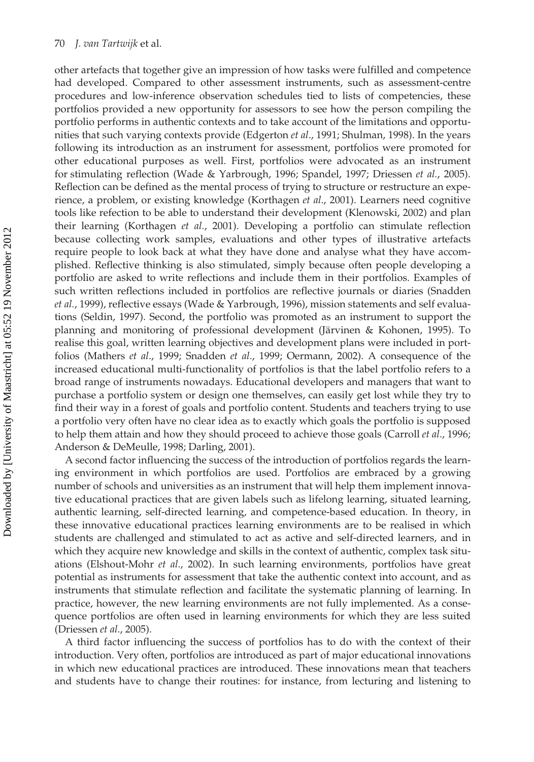other artefacts that together give an impression of how tasks were fulfilled and competence had developed. Compared to other assessment instruments, such as assessment-centre procedures and low-inference observation schedules tied to lists of competencies, these portfolios provided a new opportunity for assessors to see how the person compiling the portfolio performs in authentic contexts and to take account of the limitations and opportunities that such varying contexts provide (Edgerton *et al*., 1991; Shulman, 1998). In the years following its introduction as an instrument for assessment, portfolios were promoted for other educational purposes as well. First, portfolios were advocated as an instrument for stimulating reflection (Wade & Yarbrough, 1996; Spandel, 1997; Driessen *et al.*, 2005). Reflection can be defined as the mental process of trying to structure or restructure an experience, a problem, or existing knowledge (Korthagen *et al*., 2001). Learners need cognitive tools like refection to be able to understand their development (Klenowski, 2002) and plan their learning (Korthagen *et al.*, 2001). Developing a portfolio can stimulate reflection because collecting work samples, evaluations and other types of illustrative artefacts require people to look back at what they have done and analyse what they have accomplished. Reflective thinking is also stimulated, simply because often people developing a portfolio are asked to write reflections and include them in their portfolios. Examples of such written reflections included in portfolios are reflective journals or diaries (Snadden *et al.*, 1999), reflective essays (Wade & Yarbrough, 1996), mission statements and self evaluations (Seldin, 1997). Second, the portfolio was promoted as an instrument to support the planning and monitoring of professional development (Järvinen & Kohonen, 1995). To realise this goal, written learning objectives and development plans were included in portfolios (Mathers *et al*., 1999; Snadden *et al*., 1999; Oermann, 2002). A consequence of the increased educational multi-functionality of portfolios is that the label portfolio refers to a broad range of instruments nowadays. Educational developers and managers that want to purchase a portfolio system or design one themselves, can easily get lost while they try to find their way in a forest of goals and portfolio content. Students and teachers trying to use a portfolio very often have no clear idea as to exactly which goals the portfolio is supposed to help them attain and how they should proceed to achieve those goals (Carroll *et al*., 1996; Anderson & DeMeulle, 1998; Darling, 2001).

A second factor influencing the success of the introduction of portfolios regards the learning environment in which portfolios are used. Portfolios are embraced by a growing number of schools and universities as an instrument that will help them implement innovative educational practices that are given labels such as lifelong learning, situated learning, authentic learning, self-directed learning, and competence-based education. In theory, in these innovative educational practices learning environments are to be realised in which students are challenged and stimulated to act as active and self-directed learners, and in which they acquire new knowledge and skills in the context of authentic, complex task situations (Elshout-Mohr *et al*., 2002). In such learning environments, portfolios have great potential as instruments for assessment that take the authentic context into account, and as instruments that stimulate reflection and facilitate the systematic planning of learning. In practice, however, the new learning environments are not fully implemented. As a consequence portfolios are often used in learning environments for which they are less suited (Driessen *et al*., 2005).

A third factor influencing the success of portfolios has to do with the context of their introduction. Very often, portfolios are introduced as part of major educational innovations in which new educational practices are introduced. These innovations mean that teachers and students have to change their routines: for instance, from lecturing and listening to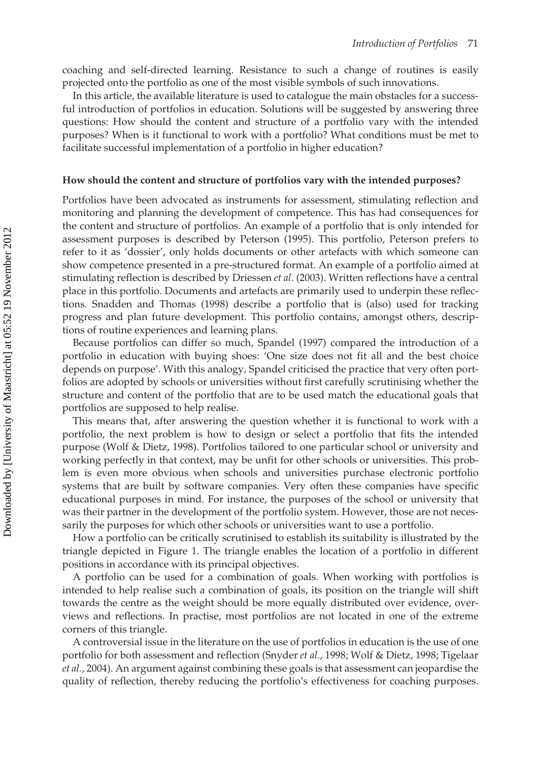coaching and self-directed learning. Resistance to such a change of routines is easily projected onto the portfolio as one of the most visible symbols of such innovations.

In this article, the available literature is used to catalogue the main obstacles for a successful introduction of portfolios in education. Solutions will be suggested by answering three questions: How should the content and structure of a portfolio vary with the intended purposes? When is it functional to work with a portfolio? What conditions must be met to facilitate successful implementation of a portfolio in higher education?

#### **How should the content and structure of portfolios vary with the intended purposes?**

Portfolios have been advocated as instruments for assessment, stimulating reflection and monitoring and planning the development of competence. This has had consequences for the content and structure of portfolios. An example of a portfolio that is only intended for assessment purposes is described by Peterson (1995). This portfolio, Peterson prefers to refer to it as 'dossier', only holds documents or other artefacts with which someone can show competence presented in a pre-structured format. An example of a portfolio aimed at stimulating reflection is described by Driessen *et al*. (2003). Written reflections have a central place in this portfolio. Documents and artefacts are primarily used to underpin these reflections. Snadden and Thomas (1998) describe a portfolio that is (also) used for tracking progress and plan future development. This portfolio contains, amongst others, descriptions of routine experiences and learning plans.

Because portfolios can differ so much, Spandel (1997) compared the introduction of a portfolio in education with buying shoes: 'One size does not fit all and the best choice depends on purpose'. With this analogy, Spandel criticised the practice that very often portfolios are adopted by schools or universities without first carefully scrutinising whether the structure and content of the portfolio that are to be used match the educational goals that portfolios are supposed to help realise.

This means that, after answering the question whether it is functional to work with a portfolio, the next problem is how to design or select a portfolio that fits the intended purpose (Wolf & Dietz, 1998). Portfolios tailored to one particular school or university and working perfectly in that context, may be unfit for other schools or universities. This problem is even more obvious when schools and universities purchase electronic portfolio systems that are built by software companies. Very often these companies have specific educational purposes in mind. For instance, the purposes of the school or university that was their partner in the development of the portfolio system. However, those are not necessarily the purposes for which other schools or universities want to use a portfolio.

How a portfolio can be critically scrutinised to establish its suitability is illustrated by the triangle depicted in Figure 1. The triangle enables the location of a portfolio in different positions in accordance with its principal objectives.

A portfolio can be used for a combination of goals. When working with portfolios is intended to help realise such a combination of goals, its position on the triangle will shift towards the centre as the weight should be more equally distributed over evidence, overviews and reflections. In practise, most portfolios are not located in one of the extreme corners of this triangle.

A controversial issue in the literature on the use of portfolios in education is the use of one portfolio for both assessment and reflection (Snyder *et al.*, 1998; Wolf & Dietz, 1998; Tigelaar *et al.*, 2004). An argument against combining these goals is that assessment can jeopardise the quality of reflection, thereby reducing the portfolio's effectiveness for coaching purposes.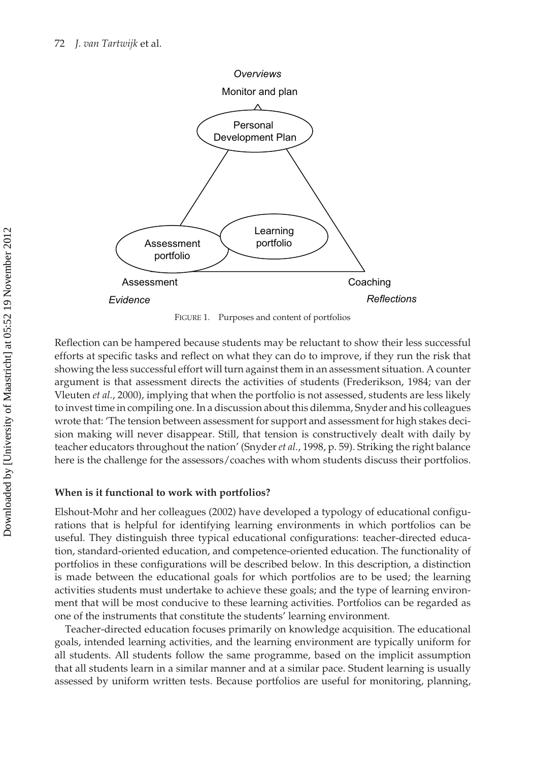

FIGURE 1. Purposes and content of portfolios

Reflection can be hampered because students may be reluctant to show their less successful efforts at specific tasks and reflect on what they can do to improve, if they run the risk that showing the less successful effort will turn against them in an assessment situation. A counter argument is that assessment directs the activities of students (Frederikson, 1984; van der Vleuten *et al.*, 2000), implying that when the portfolio is not assessed, students are less likely to invest time in compiling one. In a discussion about this dilemma, Snyder and his colleagues wrote that: 'The tension between assessment for support and assessment for high stakes decision making will never disappear. Still, that tension is constructively dealt with daily by teacher educators throughout the nation' (Snyder *et al.*, 1998, p. 59). Striking the right balance here is the challenge for the assessors/coaches with whom students discuss their portfolios.

#### **When is it functional to work with portfolios?**

Elshout-Mohr and her colleagues (2002) have developed a typology of educational configurations that is helpful for identifying learning environments in which portfolios can be useful. They distinguish three typical educational configurations: teacher-directed education, standard-oriented education, and competence-oriented education. The functionality of portfolios in these configurations will be described below. In this description, a distinction is made between the educational goals for which portfolios are to be used; the learning activities students must undertake to achieve these goals; and the type of learning environment that will be most conducive to these learning activities. Portfolios can be regarded as one of the instruments that constitute the students' learning environment.

Teacher-directed education focuses primarily on knowledge acquisition. The educational goals, intended learning activities, and the learning environment are typically uniform for all students. All students follow the same programme, based on the implicit assumption that all students learn in a similar manner and at a similar pace. Student learning is usually assessed by uniform written tests. Because portfolios are useful for monitoring, planning,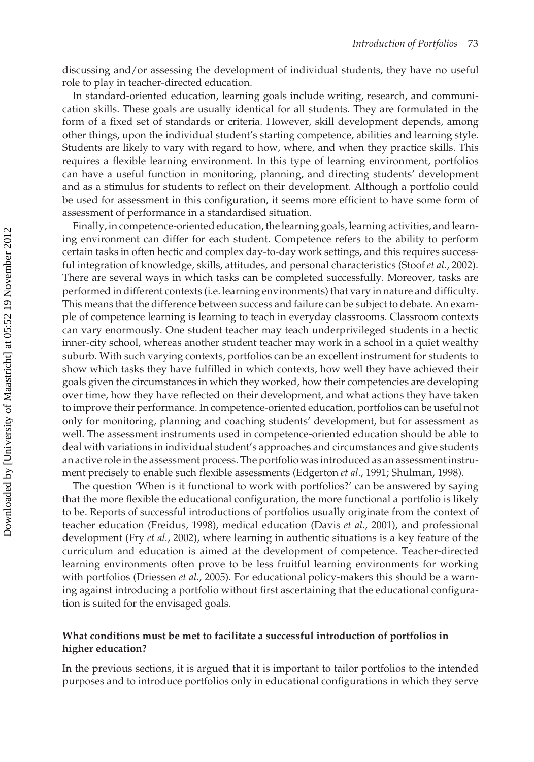discussing and/or assessing the development of individual students, they have no useful role to play in teacher-directed education.

In standard-oriented education, learning goals include writing, research, and communication skills. These goals are usually identical for all students. They are formulated in the form of a fixed set of standards or criteria. However, skill development depends, among other things, upon the individual student's starting competence, abilities and learning style. Students are likely to vary with regard to how, where, and when they practice skills. This requires a flexible learning environment. In this type of learning environment, portfolios can have a useful function in monitoring, planning, and directing students' development and as a stimulus for students to reflect on their development. Although a portfolio could be used for assessment in this configuration, it seems more efficient to have some form of assessment of performance in a standardised situation.

Finally, in competence-oriented education, the learning goals, learning activities, and learning environment can differ for each student. Competence refers to the ability to perform certain tasks in often hectic and complex day-to-day work settings, and this requires successful integration of knowledge, skills, attitudes, and personal characteristics (Stoof *et al*., 2002). There are several ways in which tasks can be completed successfully. Moreover, tasks are performed in different contexts (i.e. learning environments) that vary in nature and difficulty. This means that the difference between success and failure can be subject to debate. An example of competence learning is learning to teach in everyday classrooms. Classroom contexts can vary enormously. One student teacher may teach underprivileged students in a hectic inner-city school, whereas another student teacher may work in a school in a quiet wealthy suburb. With such varying contexts, portfolios can be an excellent instrument for students to show which tasks they have fulfilled in which contexts, how well they have achieved their goals given the circumstances in which they worked, how their competencies are developing over time, how they have reflected on their development, and what actions they have taken to improve their performance. In competence-oriented education, portfolios can be useful not only for monitoring, planning and coaching students' development, but for assessment as well. The assessment instruments used in competence-oriented education should be able to deal with variations in individual student's approaches and circumstances and give students an active role in the assessment process. The portfolio was introduced as an assessment instrument precisely to enable such flexible assessments (Edgerton *et al*., 1991; Shulman, 1998).

The question 'When is it functional to work with portfolios?' can be answered by saying that the more flexible the educational configuration, the more functional a portfolio is likely to be. Reports of successful introductions of portfolios usually originate from the context of teacher education (Freidus, 1998), medical education (Davis *et al.*, 2001), and professional development (Fry *et al.*, 2002), where learning in authentic situations is a key feature of the curriculum and education is aimed at the development of competence. Teacher-directed learning environments often prove to be less fruitful learning environments for working with portfolios (Driessen *et al.*, 2005). For educational policy-makers this should be a warning against introducing a portfolio without first ascertaining that the educational configuration is suited for the envisaged goals.

#### **What conditions must be met to facilitate a successful introduction of portfolios in higher education?**

In the previous sections, it is argued that it is important to tailor portfolios to the intended purposes and to introduce portfolios only in educational configurations in which they serve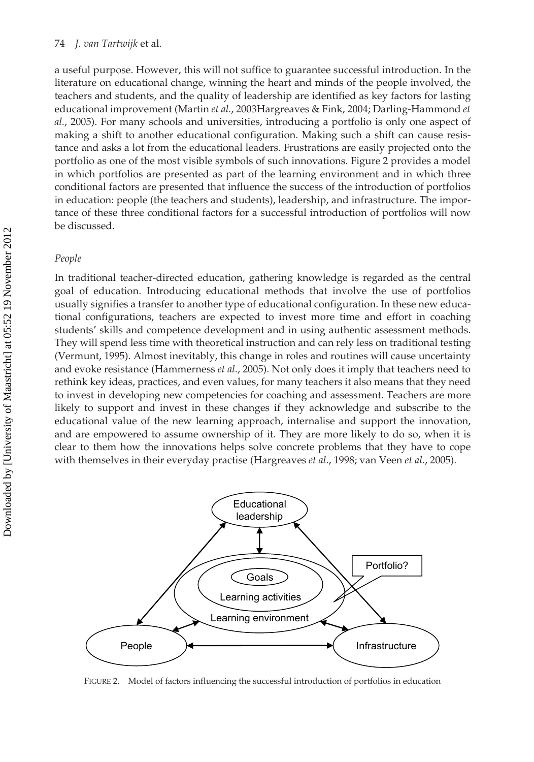a useful purpose. However, this will not suffice to guarantee successful introduction. In the literature on educational change, winning the heart and minds of the people involved, the teachers and students, and the quality of leadership are identified as key factors for lasting educational improvement (Martin *et al.*, 2003Hargreaves & Fink, 2004; Darling-Hammond *et al.*, 2005). For many schools and universities, introducing a portfolio is only one aspect of making a shift to another educational configuration. Making such a shift can cause resistance and asks a lot from the educational leaders. Frustrations are easily projected onto the portfolio as one of the most visible symbols of such innovations. Figure 2 provides a model in which portfolios are presented as part of the learning environment and in which three conditional factors are presented that influence the success of the introduction of portfolios in education: people (the teachers and students), leadership, and infrastructure. The importance of these three conditional factors for a successful introduction of portfolios will now be discussed.

#### *People*

In traditional teacher-directed education, gathering knowledge is regarded as the central goal of education. Introducing educational methods that involve the use of portfolios usually signifies a transfer to another type of educational configuration. In these new educational configurations, teachers are expected to invest more time and effort in coaching students' skills and competence development and in using authentic assessment methods. They will spend less time with theoretical instruction and can rely less on traditional testing (Vermunt, 1995). Almost inevitably, this change in roles and routines will cause uncertainty and evoke resistance (Hammerness *et al*., 2005). Not only does it imply that teachers need to rethink key ideas, practices, and even values, for many teachers it also means that they need to invest in developing new competencies for coaching and assessment. Teachers are more likely to support and invest in these changes if they acknowledge and subscribe to the educational value of the new learning approach, internalise and support the innovation, and are empowered to assume ownership of it. They are more likely to do so, when it is clear to them how the innovations helps solve concrete problems that they have to cope with themselves in their everyday practise (Hargreaves *et al*., 1998; van Veen *et al*., 2005).



FIGURE 2. Model of factors influencing the successful introduction of portfolios in education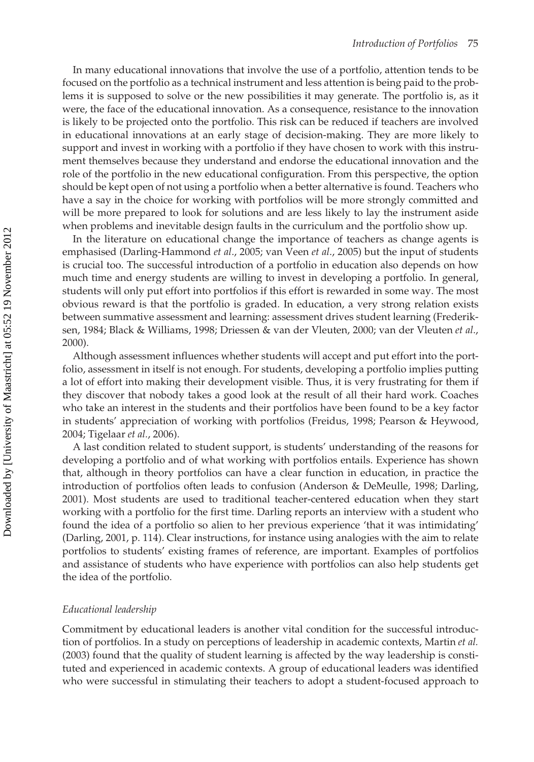In many educational innovations that involve the use of a portfolio, attention tends to be focused on the portfolio as a technical instrument and less attention is being paid to the problems it is supposed to solve or the new possibilities it may generate. The portfolio is, as it were, the face of the educational innovation. As a consequence, resistance to the innovation is likely to be projected onto the portfolio. This risk can be reduced if teachers are involved in educational innovations at an early stage of decision-making. They are more likely to support and invest in working with a portfolio if they have chosen to work with this instrument themselves because they understand and endorse the educational innovation and the role of the portfolio in the new educational configuration. From this perspective, the option should be kept open of not using a portfolio when a better alternative is found. Teachers who have a say in the choice for working with portfolios will be more strongly committed and will be more prepared to look for solutions and are less likely to lay the instrument aside when problems and inevitable design faults in the curriculum and the portfolio show up.

In the literature on educational change the importance of teachers as change agents is emphasised (Darling-Hammond *et al*., 2005; van Veen *et al*., 2005) but the input of students is crucial too. The successful introduction of a portfolio in education also depends on how much time and energy students are willing to invest in developing a portfolio. In general, students will only put effort into portfolios if this effort is rewarded in some way. The most obvious reward is that the portfolio is graded. In education, a very strong relation exists between summative assessment and learning: assessment drives student learning (Frederiksen, 1984; Black & Williams, 1998; Driessen & van der Vleuten, 2000; van der Vleuten *et al*., 2000).

Although assessment influences whether students will accept and put effort into the portfolio, assessment in itself is not enough. For students, developing a portfolio implies putting a lot of effort into making their development visible. Thus, it is very frustrating for them if they discover that nobody takes a good look at the result of all their hard work. Coaches who take an interest in the students and their portfolios have been found to be a key factor in students' appreciation of working with portfolios (Freidus, 1998; Pearson & Heywood, 2004; Tigelaar *et al.*, 2006).

A last condition related to student support, is students' understanding of the reasons for developing a portfolio and of what working with portfolios entails. Experience has shown that, although in theory portfolios can have a clear function in education, in practice the introduction of portfolios often leads to confusion (Anderson & DeMeulle, 1998; Darling, 2001). Most students are used to traditional teacher-centered education when they start working with a portfolio for the first time. Darling reports an interview with a student who found the idea of a portfolio so alien to her previous experience 'that it was intimidating' (Darling, 2001, p. 114). Clear instructions, for instance using analogies with the aim to relate portfolios to students' existing frames of reference, are important. Examples of portfolios and assistance of students who have experience with portfolios can also help students get the idea of the portfolio.

#### *Educational leadership*

Commitment by educational leaders is another vital condition for the successful introduction of portfolios. In a study on perceptions of leadership in academic contexts, Martin *et al.* (2003) found that the quality of student learning is affected by the way leadership is constituted and experienced in academic contexts. A group of educational leaders was identified who were successful in stimulating their teachers to adopt a student-focused approach to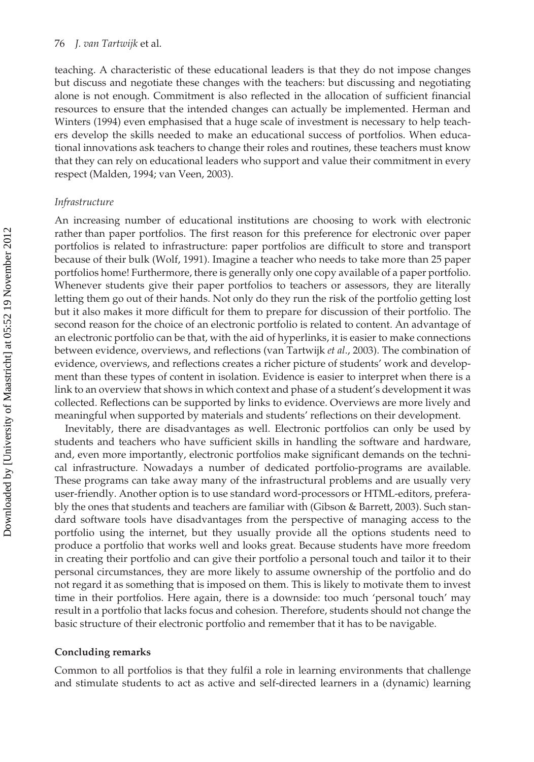teaching. A characteristic of these educational leaders is that they do not impose changes but discuss and negotiate these changes with the teachers: but discussing and negotiating alone is not enough. Commitment is also reflected in the allocation of sufficient financial resources to ensure that the intended changes can actually be implemented. Herman and Winters (1994) even emphasised that a huge scale of investment is necessary to help teachers develop the skills needed to make an educational success of portfolios. When educational innovations ask teachers to change their roles and routines, these teachers must know that they can rely on educational leaders who support and value their commitment in every respect (Malden, 1994; van Veen, 2003).

#### *Infrastructure*

An increasing number of educational institutions are choosing to work with electronic rather than paper portfolios. The first reason for this preference for electronic over paper portfolios is related to infrastructure: paper portfolios are difficult to store and transport because of their bulk (Wolf, 1991). Imagine a teacher who needs to take more than 25 paper portfolios home! Furthermore, there is generally only one copy available of a paper portfolio. Whenever students give their paper portfolios to teachers or assessors, they are literally letting them go out of their hands. Not only do they run the risk of the portfolio getting lost but it also makes it more difficult for them to prepare for discussion of their portfolio. The second reason for the choice of an electronic portfolio is related to content. An advantage of an electronic portfolio can be that, with the aid of hyperlinks, it is easier to make connections between evidence, overviews, and reflections (van Tartwijk *et al*., 2003). The combination of evidence, overviews, and reflections creates a richer picture of students' work and development than these types of content in isolation. Evidence is easier to interpret when there is a link to an overview that shows in which context and phase of a student's development it was collected. Reflections can be supported by links to evidence. Overviews are more lively and meaningful when supported by materials and students' reflections on their development.

Inevitably, there are disadvantages as well. Electronic portfolios can only be used by students and teachers who have sufficient skills in handling the software and hardware, and, even more importantly, electronic portfolios make significant demands on the technical infrastructure. Nowadays a number of dedicated portfolio-programs are available. These programs can take away many of the infrastructural problems and are usually very user-friendly. Another option is to use standard word-processors or HTML-editors, preferably the ones that students and teachers are familiar with (Gibson & Barrett, 2003). Such standard software tools have disadvantages from the perspective of managing access to the portfolio using the internet, but they usually provide all the options students need to produce a portfolio that works well and looks great. Because students have more freedom in creating their portfolio and can give their portfolio a personal touch and tailor it to their personal circumstances, they are more likely to assume ownership of the portfolio and do not regard it as something that is imposed on them. This is likely to motivate them to invest time in their portfolios. Here again, there is a downside: too much 'personal touch' may result in a portfolio that lacks focus and cohesion. Therefore, students should not change the basic structure of their electronic portfolio and remember that it has to be navigable.

#### **Concluding remarks**

Common to all portfolios is that they fulfil a role in learning environments that challenge and stimulate students to act as active and self-directed learners in a (dynamic) learning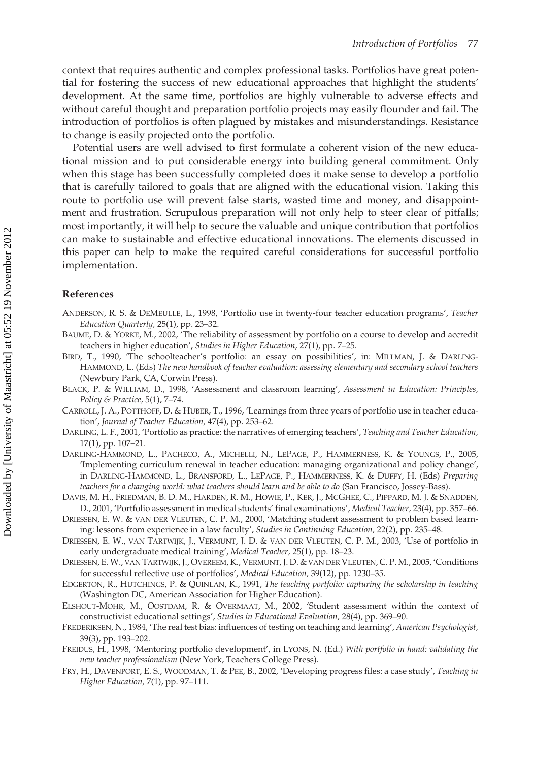context that requires authentic and complex professional tasks. Portfolios have great potential for fostering the success of new educational approaches that highlight the students' development. At the same time, portfolios are highly vulnerable to adverse effects and without careful thought and preparation portfolio projects may easily flounder and fail. The introduction of portfolios is often plagued by mistakes and misunderstandings. Resistance to change is easily projected onto the portfolio.

Potential users are well advised to first formulate a coherent vision of the new educational mission and to put considerable energy into building general commitment. Only when this stage has been successfully completed does it make sense to develop a portfolio that is carefully tailored to goals that are aligned with the educational vision. Taking this route to portfolio use will prevent false starts, wasted time and money, and disappointment and frustration. Scrupulous preparation will not only help to steer clear of pitfalls; most importantly, it will help to secure the valuable and unique contribution that portfolios can make to sustainable and effective educational innovations. The elements discussed in this paper can help to make the required careful considerations for successful portfolio implementation.

#### **References**

- ANDERSON, R. S. & DEMEULLE, L., 1998, 'Portfolio use in twenty-four teacher education programs', *Teacher Education Quarterly,* 25(1), pp. 23–32.
- BAUME, D. & YORKE, M., 2002, 'The reliability of assessment by portfolio on a course to develop and accredit teachers in higher education', *Studies in Higher Education,* 27(1), pp. 7–25.
- BIRD, T., 1990, 'The schoolteacher's portfolio: an essay on possibilities', in: MILLMAN, J. & DARLING-HAMMOND, L. (Eds) *The new handbook of teacher evaluation: assessing elementary and secondary school teachers* (Newbury Park, CA, Corwin Press).
- BLACK, P. & WILLIAM, D., 1998, 'Assessment and classroom learning', *Assessment in Education: Principles, Policy & Practice,* 5(1), 7–74.
- CARROLL, J. A., POTTHOFF, D. & HUBER, T., 1996, 'Learnings from three years of portfolio use in teacher education', *Journal of Teacher Education,* 47(4), pp. 253–62.
- DARLING, L. F., 2001, 'Portfolio as practice: the narratives of emerging teachers', *Teaching and Teacher Education,* 17(1), pp. 107–21.
- DARLING-HAMMOND, L., PACHECO, A., MICHELLI, N., LEPAGE, P., HAMMERNESS, K. & YOUNGS, P., 2005, 'Implementing curriculum renewal in teacher education: managing organizational and policy change', in DARLING-HAMMOND, L., BRANSFORD, L., LEPAGE, P., HAMMERNESS, K. & DUFFY, H. (Eds) *Preparing teachers for a changing world: what teachers should learn and be able to do* (San Francisco, Jossey-Bass).
- DAVIS, M. H., FRIEDMAN, B. D. M., HARDEN, R. M., HOWIE, P., KER, J., MCGHEE, C., PIPPARD, M. J. & SNADDEN, D., 2001, 'Portfolio assessment in medical students' final examinations', *Medical Teacher,* 23(4), pp. 357–66.
- DRIESSEN, E. W. & VAN DER VLEUTEN, C. P. M., 2000, 'Matching student assessment to problem based learning: lessons from experience in a law faculty', *Studies in Continuing Education,* 22(2), pp. 235–48.
- DRIESSEN, E. W., VAN TARTWIJK, J., VERMUNT, J. D. & VAN DER VLEUTEN, C. P. M., 2003, 'Use of portfolio in early undergraduate medical training', *Medical Teacher,* 25(1), pp. 18–23.
- DRIESSEN, E. W., VAN TARTWIJK, J., OVEREEM, K., VERMUNT, J. D. & VAN DER VLEUTEN, C. P. M., 2005, 'Conditions for successful reflective use of portfolios', *Medical Education,* 39(12), pp. 1230–35.
- EDGERTON, R., HUTCHINGS, P. & QUINLAN, K., 1991, *The teaching portfolio: capturing the scholarship in teaching* (Washington DC, American Association for Higher Education).
- ELSHOUT-MOHR, M., OOSTDAM, R. & OVERMAAT, M., 2002, 'Student assessment within the context of constructivist educational settings', *Studies in Educational Evaluation,* 28(4), pp. 369–90.
- FREDERIKSEN, N., 1984, 'The real test bias: influences of testing on teaching and learning', *American Psychologist,* 39(3), pp. 193–202.
- FREIDUS, H., 1998, 'Mentoring portfolio development', in LYONS, N. (Ed.) *With portfolio in hand: validating the new teacher professionalism* (New York, Teachers College Press).
- FRY, H., DAVENPORT, E. S., WOODMAN, T. & PEE, B., 2002, 'Developing progress files: a case study', *Teaching in Higher Education,* 7(1), pp. 97–111.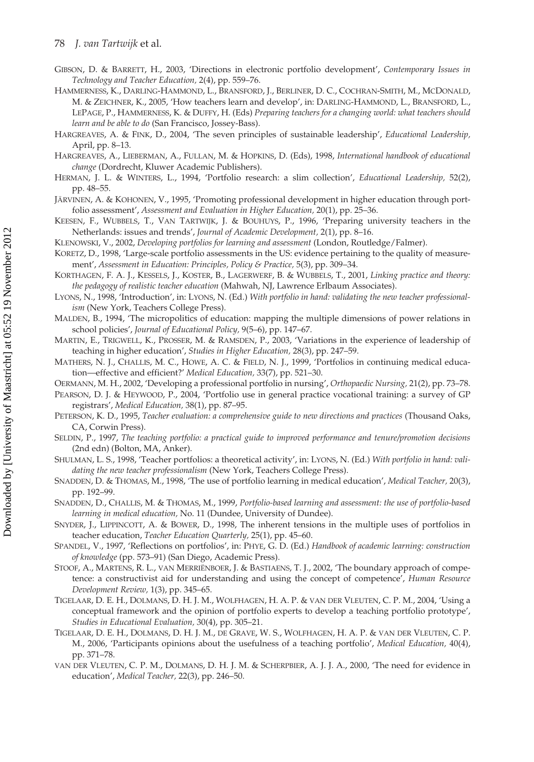- GIBSON, D. & BARRETT, H., 2003, 'Directions in electronic portfolio development', *Contemporary Issues in Technology and Teacher Education,* 2(4), pp. 559–76.
- HAMMERNESS, K., DARLING-HAMMOND, L., BRANSFORD, J., BERLINER, D. C., COCHRAN-SMITH, M., MCDONALD, M. & ZEICHNER, K., 2005, 'How teachers learn and develop', in: DARLING-HAMMOND, L., BRANSFORD, L., LEPAGE, P., HAMMERNESS, K. & DUFFY, H. (Eds) *Preparing teachers for a changing world: what teachers should learn and be able to do* (San Francisco, Jossey-Bass).
- HARGREAVES, A. & FINK, D., 2004, 'The seven principles of sustainable leadership', *Educational Leadership,* April, pp. 8–13.
- HARGREAVES, A., LIEBERMAN, A., FULLAN, M. & HOPKINS, D. (Eds), 1998, *International handbook of educational change* (Dordrecht, Kluwer Academic Publishers).
- HERMAN, J. L. & WINTERS, L., 1994, 'Portfolio research: a slim collection', *Educational Leadership,* 52(2), pp. 48–55.
- JÄRVINEN, A. & KOHONEN, V., 1995, 'Promoting professional development in higher education through portfolio assessment', *Assessment and Evaluation in Higher Education,* 20(1), pp. 25–36.
- KEESEN, F., WUBBELS, T., VAN TARTWIJK, J. & BOUHUYS, P., 1996, 'Preparing university teachers in the Netherlands: issues and trends', *Journal of Academic Development,* 2(1), pp. 8–16.
- KLENOWSKI, V., 2002, *Developing portfolios for learning and assessment* (London, Routledge/Falmer).
- KORETZ, D., 1998, 'Large-scale portfolio assessments in the US: evidence pertaining to the quality of measurement', *Assessment in Education: Principles, Policy & Practice,* 5(3), pp. 309–34.
- KORTHAGEN, F. A. J., KESSELS, J., KOSTER, B., LAGERWERF, B. & WUBBELS, T., 2001, *Linking practice and theory: the pedagogy of realistic teacher education* (Mahwah, NJ, Lawrence Erlbaum Associates).
- LYONS, N., 1998, 'Introduction', in: LYONS, N. (Ed.) *With portfolio in hand: validating the new teacher professionalism* (New York, Teachers College Press).
- MALDEN, B., 1994, 'The micropolitics of education: mapping the multiple dimensions of power relations in school policies', *Journal of Educational Policy,* 9(5–6), pp. 147–67.
- MARTIN, E., TRIGWELL, K., PROSSER, M. & RAMSDEN, P., 2003, 'Variations in the experience of leadership of teaching in higher education', *Studies in Higher Education,* 28(3), pp. 247–59.
- MATHERS, N. J., CHALLIS, M. C., HOWE, A. C. & FIELD, N. J., 1999, 'Portfolios in continuing medical education—effective and efficient?' *Medical Education,* 33(7), pp. 521–30.
- OERMANN, M. H., 2002, 'Developing a professional portfolio in nursing', *Orthopaedic Nursing,* 21(2), pp. 73–78.
- PEARSON, D. J. & HEYWOOD, P., 2004, 'Portfolio use in general practice vocational training: a survey of GP registrars', *Medical Education,* 38(1), pp. 87–95.
- PETERSON, K. D., 1995, *Teacher evaluation: a comprehensive guide to new directions and practices* (Thousand Oaks, CA, Corwin Press).
- SELDIN, P., 1997, *The teaching portfolio: a practical guide to improved performance and tenure/promotion decisions* (2nd edn) (Bolton, MA, Anker).
- SHULMAN, L. S., 1998, 'Teacher portfolios: a theoretical activity', in: LYONS, N. (Ed.) *With portfolio in hand: validating the new teacher professionalism* (New York, Teachers College Press).
- SNADDEN, D. & THOMAS, M., 1998, 'The use of portfolio learning in medical education', *Medical Teacher,* 20(3), pp. 192–99.
- SNADDEN, D., CHALLIS, M. & THOMAS, M., 1999, *Portfolio-based learning and assessment: the use of portfolio-based learning in medical education,* No. 11 (Dundee, University of Dundee).
- SNYDER, J., LIPPINCOTT, A. & BOWER, D., 1998, The inherent tensions in the multiple uses of portfolios in teacher education, *Teacher Education Quarterly,* 25(1), pp. 45–60.
- SPANDEL, V., 1997, 'Reflections on portfolios', in: PHYE, G. D. (Ed.) *Handbook of academic learning: construction of knowledge* (pp. 573–91) (San Diego, Academic Press).
- STOOF, A., MARTENS, R. L., VAN MERRIËNBOER, J. & BASTIAENS, T. J., 2002, 'The boundary approach of competence: a constructivist aid for understanding and using the concept of competence', *Human Resource Development Review,* 1(3), pp. 345–65.
- TIGELAAR, D. E. H., DOLMANS, D. H. J. M., WOLFHAGEN, H. A. P. & VAN DER VLEUTEN, C. P. M., 2004, 'Using a conceptual framework and the opinion of portfolio experts to develop a teaching portfolio prototype', *Studies in Educational Evaluation,* 30(4), pp. 305–21.
- TIGELAAR, D. E. H., DOLMANS, D. H. J. M., DE GRAVE, W. S., WOLFHAGEN, H. A. P. & VAN DER VLEUTEN, C. P. M., 2006, 'Participants opinions about the usefulness of a teaching portfolio', *Medical Education,* 40(4), pp. 371–78.
- VAN DER VLEUTEN, C. P. M., DOLMANS, D. H. J. M. & SCHERPBIER, A. J. J. A., 2000, 'The need for evidence in education', *Medical Teacher,* 22(3), pp. 246–50.